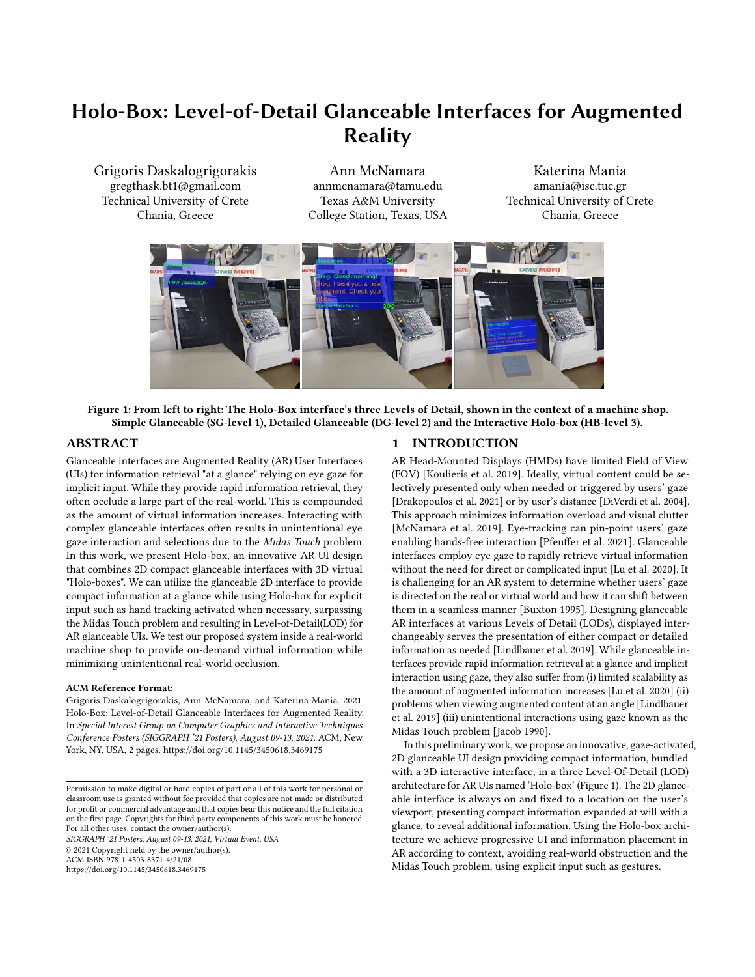# Holo-Box: Level-of-Detail Glanceable Interfaces for Augmented Reality

Grigoris Daskalogrigorakis gregthask.bt1@gmail.com Technical University of Crete Chania, Greece

Ann McNamara annmcnamara@tamu.edu Texas A&M University College Station, Texas, USA

Katerina Mania amania@isc.tuc.gr Technical University of Crete Chania, Greece

<span id="page-0-0"></span>

Figure 1: From left to right: The Holo-Box interface's three Levels of Detail, shown in the context of a machine shop. Simple Glanceable (SG-level 1), Detailed Glanceable (DG-level 2) and the Interactive Holo-box (HB-level 3).

### ABSTRACT

Glanceable interfaces are Augmented Reality (AR) User Interfaces (UIs) for information retrieval "at a glance" relying on eye gaze for implicit input. While they provide rapid information retrieval, they often occlude a large part of the real-world. This is compounded as the amount of virtual information increases. Interacting with complex glanceable interfaces often results in unintentional eye gaze interaction and selections due to the Midas Touch problem. In this work, we present Holo-box, an innovative AR UI design that combines 2D compact glanceable interfaces with 3D virtual "Holo-boxes". We can utilize the glanceable 2D interface to provide compact information at a glance while using Holo-box for explicit input such as hand tracking activated when necessary, surpassing the Midas Touch problem and resulting in Level-of-Detail(LOD) for AR glanceable UIs. We test our proposed system inside a real-world machine shop to provide on-demand virtual information while minimizing unintentional real-world occlusion.

#### ACM Reference Format:

Grigoris Daskalogrigorakis, Ann McNamara, and Katerina Mania. 2021. Holo-Box: Level-of-Detail Glanceable Interfaces for Augmented Reality. In Special Interest Group on Computer Graphics and Interactive Techniques Conference Posters (SIGGRAPH '21 Posters), August 09-13, 2021. ACM, New York, NY, USA, [2](#page-1-0) pages.<https://doi.org/10.1145/3450618.3469175>

SIGGRAPH '21 Posters, August 09-13, 2021, Virtual Event, USA © 2021 Copyright held by the owner/author(s). ACM ISBN 978-1-4503-8371-4/21/08.

<https://doi.org/10.1145/3450618.3469175>

#### 1 INTRODUCTION

AR Head-Mounted Displays (HMDs) have limited Field of View (FOV) [\[Koulieris et al.](#page-1-1) [2019\]](#page-1-1). Ideally, virtual content could be selectively presented only when needed or triggered by users' gaze [\[Drakopoulos et al.](#page-1-2) [2021\]](#page-1-2) or by user's distance [\[DiVerdi et al.](#page-1-3) [2004\]](#page-1-3). This approach minimizes information overload and visual clutter [\[McNamara et al.](#page-1-4) [2019\]](#page-1-4). Eye-tracking can pin-point users' gaze enabling hands-free interaction [\[Pfeuffer et al.](#page-1-5) [2021\]](#page-1-5). Glanceable interfaces employ eye gaze to rapidly retrieve virtual information without the need for direct or complicated input [\[Lu et al.](#page-1-6) [2020\]](#page-1-6). It is challenging for an AR system to determine whether users' gaze is directed on the real or virtual world and how it can shift between them in a seamless manner [\[Buxton 1995\]](#page-1-7). Designing glanceable AR interfaces at various Levels of Detail (LODs), displayed interchangeably serves the presentation of either compact or detailed information as needed [\[Lindlbauer et al.](#page-1-8) [2019\]](#page-1-8). While glanceable interfaces provide rapid information retrieval at a glance and implicit interaction using gaze, they also suffer from (i) limited scalability as the amount of augmented information increases [\[Lu et al.](#page-1-6) [2020\]](#page-1-6) (ii) problems when viewing augmented content at an angle [\[Lindlbauer](#page-1-8) [et al.](#page-1-8) [2019\]](#page-1-8) (iii) unintentional interactions using gaze known as the Midas Touch problem [\[Jacob 1990\]](#page-1-9).

In this preliminary work, we propose an innovative, gaze-activated, 2D glanceable UI design providing compact information, bundled with a 3D interactive interface, in a three Level-Of-Detail (LOD) architecture for AR UIs named 'Holo-box' (Figure [1\)](#page-0-0). The 2D glanceable interface is always on and fixed to a location on the user's viewport, presenting compact information expanded at will with a glance, to reveal additional information. Using the Holo-box architecture we achieve progressive UI and information placement in AR according to context, avoiding real-world obstruction and the Midas Touch problem, using explicit input such as gestures.

Permission to make digital or hard copies of part or all of this work for personal or classroom use is granted without fee provided that copies are not made or distributed for profit or commercial advantage and that copies bear this notice and the full citation on the first page. Copyrights for third-party components of this work must be honored. For all other uses, contact the owner/author(s).